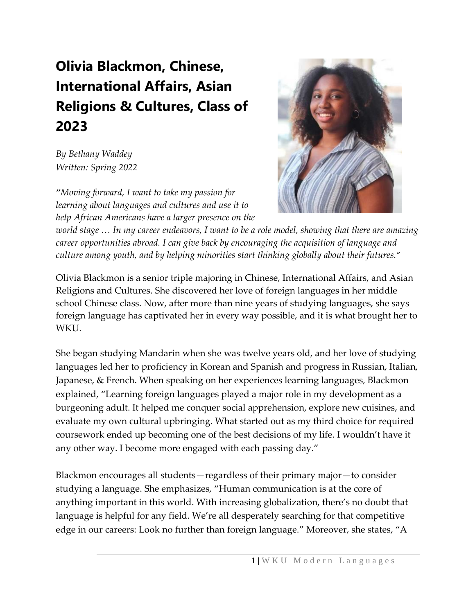## **Olivia Blackmon, Chinese, International Affairs, Asian Religions & Cultures, Class of 2023**

*By Bethany Waddey Written: Spring 2022*

*"Moving forward, I want to take my passion for learning about languages and cultures and use it to help African Americans have a larger presence on the* 



*world stage … In my career endeavors, I want to be a role model, showing that there are amazing career opportunities abroad. I can give back by encouraging the acquisition of language and culture among youth, and by helping minorities start thinking globally about their futures."*

Olivia Blackmon is a senior triple majoring in Chinese, International Affairs, and Asian Religions and Cultures. She discovered her love of foreign languages in her middle school Chinese class. Now, after more than nine years of studying languages, she says foreign language has captivated her in every way possible, and it is what brought her to WKU.

She began studying Mandarin when she was twelve years old, and her love of studying languages led her to proficiency in Korean and Spanish and progress in Russian, Italian, Japanese, & French. When speaking on her experiences learning languages, Blackmon explained, "Learning foreign languages played a major role in my development as a burgeoning adult. It helped me conquer social apprehension, explore new cuisines, and evaluate my own cultural upbringing. What started out as my third choice for required coursework ended up becoming one of the best decisions of my life. I wouldn't have it any other way. I become more engaged with each passing day."

Blackmon encourages all students—regardless of their primary major—to consider studying a language. She emphasizes, "Human communication is at the core of anything important in this world. With increasing globalization, there's no doubt that language is helpful for any field. We're all desperately searching for that competitive edge in our careers: Look no further than foreign language." Moreover, she states, "A